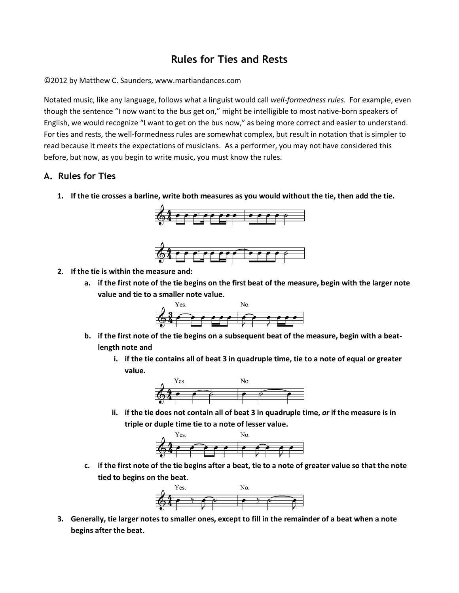## **Rules for Ties and Rests**

## ©2012 by Matthew C. Saunders, www.martiandances.com

Notated music, like any language, follows what a linguist would call *well-formedness rules*. For example, even though the sentence "I now want to the bus get on," might be intelligible to most native-born speakers of English, we would recognize "I want to get on the bus now," as being more correct and easier to understand. For ties and rests, the well-formedness rules are somewhat complex, but result in notation that is simpler to read because it meets the expectations of musicians. As a performer, you may not have considered this before, but now, as you begin to write music, you must know the rules.

## **A. Rules for Ties**

**1. If the tie crosses a barline, write both measures as you would without the tie, then add the tie.** 





- **2. If the tie is within the measure and:** 
	- **a. if the first note of the tie begins on the first beat of the measure, begin with the larger note value and tie to a smaller note value.**



- **b. if the first note of the tie begins on a subsequent beat of the measure, begin with a beatlength note and** 
	- **i. if the tie contains all of beat 3 in quadruple time, tie to a note of equal or greater value.**



**ii. if the tie does not contain all of beat 3 in quadruple time,** *or* **if the measure is in triple or duple time tie to a note of lesser value.**



**c. if the first note of the tie begins after a beat, tie to a note of greater value so that the note tied to begins on the beat.** 



**3. Generally, tie larger notes to smaller ones, except to fill in the remainder of a beat when a note begins after the beat.**